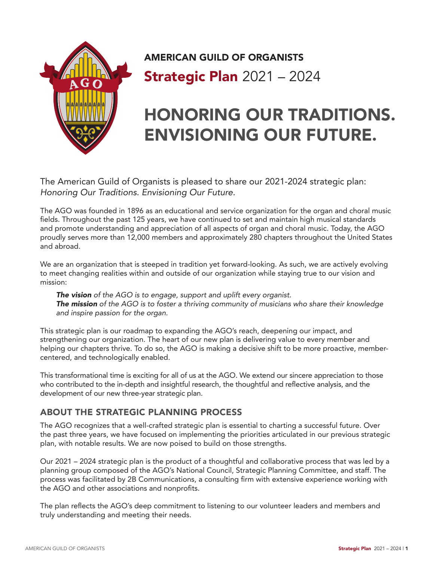

# AMERICAN GUILD OF ORGANISTS **Strategic Plan 2021 - 2024**

# HONORING OUR TRADITIONS. ENVISIONING OUR FUTURE.

The American Guild of Organists is pleased to share our 2021-2024 strategic plan: *Honoring Our Traditions. Envisioning Our Future.*

The AGO was founded in 1896 as an educational and service organization for the organ and choral music fields. Throughout the past 125 years, we have continued to set and maintain high musical standards and promote understanding and appreciation of all aspects of organ and choral music. Today, the AGO proudly serves more than 12,000 members and approximately 280 chapters throughout the United States and abroad.

We are an organization that is steeped in tradition yet forward-looking. As such, we are actively evolving to meet changing realities within and outside of our organization while staying true to our vision and mission:

*The vision of the AGO is to engage, support and uplift every organist. The mission of the AGO is to foster a thriving community of musicians who share their knowledge and inspire passion for the organ.* 

This strategic plan is our roadmap to expanding the AGO's reach, deepening our impact, and strengthening our organization. The heart of our new plan is delivering value to every member and helping our chapters thrive. To do so, the AGO is making a decisive shift to be more proactive, membercentered, and technologically enabled.

This transformational time is exciting for all of us at the AGO. We extend our sincere appreciation to those who contributed to the in-depth and insightful research, the thoughtful and reflective analysis, and the development of our new three-year strategic plan.

### ABOUT THE STRATEGIC PLANNING PROCESS

The AGO recognizes that a well-crafted strategic plan is essential to charting a successful future. Over the past three years, we have focused on implementing the priorities articulated in our previous strategic plan, with notable results. We are now poised to build on those strengths.

Our 2021 – 2024 strategic plan is the product of a thoughtful and collaborative process that was led by a planning group composed of the AGO's National Council, Strategic Planning Committee, and staff. The process was facilitated by 2B Communications, a consulting firm with extensive experience working with the AGO and other associations and nonprofits.

The plan reflects the AGO's deep commitment to listening to our volunteer leaders and members and truly understanding and meeting their needs.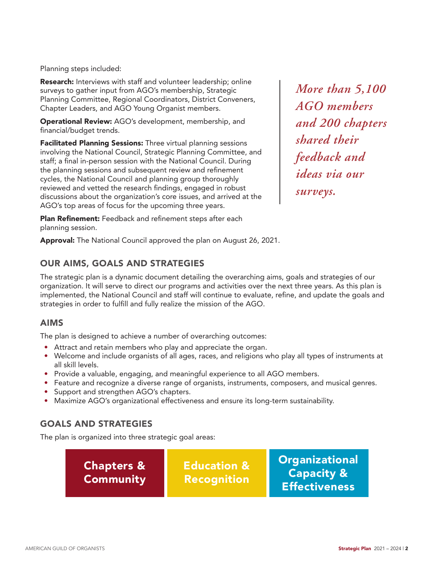Planning steps included:

Research: Interviews with staff and volunteer leadership; online surveys to gather input from AGO's membership, Strategic Planning Committee, Regional Coordinators, District Conveners, Chapter Leaders, and AGO Young Organist members.

Operational Review: AGO's development, membership, and financial/budget trends.

Facilitated Planning Sessions: Three virtual planning sessions involving the National Council, Strategic Planning Committee, and staff; a final in-person session with the National Council. During the planning sessions and subsequent review and refinement cycles, the National Council and planning group thoroughly reviewed and vetted the research findings, engaged in robust discussions about the organization's core issues, and arrived at the AGO's top areas of focus for the upcoming three years.

*More than 5,100 AGO members and 200 chapters shared their feedback and ideas via our surveys.*

Plan Refinement: Feedback and refinement steps after each planning session.

Approval: The National Council approved the plan on August 26, 2021.

### OUR AIMS, GOALS AND STRATEGIES

The strategic plan is a dynamic document detailing the overarching aims, goals and strategies of our organization. It will serve to direct our programs and activities over the next three years. As this plan is implemented, the National Council and staff will continue to evaluate, refine, and update the goals and strategies in order to fulfill and fully realize the mission of the AGO.

### AIMS

The plan is designed to achieve a number of overarching outcomes:

- Attract and retain members who play and appreciate the organ.
- Welcome and include organists of all ages, races, and religions who play all types of instruments at all skill levels.
- Provide a valuable, engaging, and meaningful experience to all AGO members.
- Feature and recognize a diverse range of organists, instruments, composers, and musical genres.
- Support and strengthen AGO's chapters.
- Maximize AGO's organizational effectiveness and ensure its long-term sustainability.

### GOALS AND STRATEGIES

The plan is organized into three strategic goal areas:

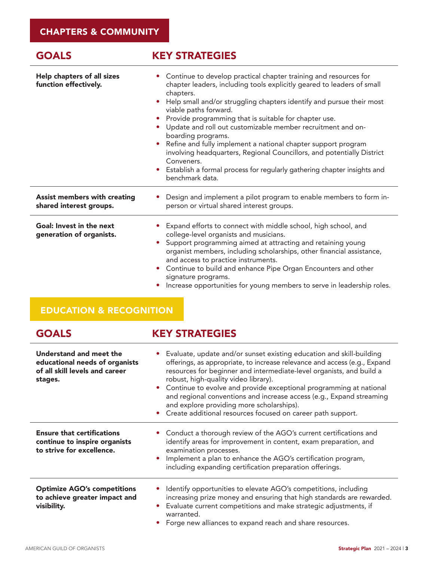## GOALS **KEY STRATEGIES**

| Help chapters of all sizes<br>function effectively.            | • Continue to develop practical chapter training and resources for<br>chapter leaders, including tools explicitly geared to leaders of small<br>chapters.<br>Help small and/or struggling chapters identify and pursue their most<br>$\bullet$<br>viable paths forward.<br>Provide programming that is suitable for chapter use.<br>Update and roll out customizable member recruitment and on-<br>boarding programs.<br>Refine and fully implement a national chapter support program<br>involving headquarters, Regional Councillors, and potentially District<br>Conveners.<br>Establish a formal process for regularly gathering chapter insights and<br>$\bullet$<br>benchmark data. |
|----------------------------------------------------------------|-------------------------------------------------------------------------------------------------------------------------------------------------------------------------------------------------------------------------------------------------------------------------------------------------------------------------------------------------------------------------------------------------------------------------------------------------------------------------------------------------------------------------------------------------------------------------------------------------------------------------------------------------------------------------------------------|
| <b>Assist members with creating</b><br>shared interest groups. | Design and implement a pilot program to enable members to form in-<br>person or virtual shared interest groups.                                                                                                                                                                                                                                                                                                                                                                                                                                                                                                                                                                           |
| Goal: Invest in the next<br>generation of organists.           | Expand efforts to connect with middle school, high school, and<br>college-level organists and musicians.<br>Support programming aimed at attracting and retaining young<br>organist members, including scholarships, other financial assistance,<br>and access to practice instruments.<br>Continue to build and enhance Pipe Organ Encounters and other<br>$\bullet$<br>signature programs.<br>Increase opportunities for young members to serve in leadership roles.                                                                                                                                                                                                                    |

# EDUCATION & RECOGNITION

|  | <b>GOALS</b> |  |  |
|--|--------------|--|--|
|  |              |  |  |

# GOALS **KEY STRATEGIES**

| Understand and meet the<br>educational needs of organists<br>of all skill levels and career<br>stages. | • Evaluate, update and/or sunset existing education and skill-building<br>offerings, as appropriate, to increase relevance and access (e.g., Expand<br>resources for beginner and intermediate-level organists, and build a<br>robust, high-quality video library).<br>• Continue to evolve and provide exceptional programming at national<br>and regional conventions and increase access (e.g., Expand streaming<br>and explore providing more scholarships).<br>Create additional resources focused on career path support. |
|--------------------------------------------------------------------------------------------------------|---------------------------------------------------------------------------------------------------------------------------------------------------------------------------------------------------------------------------------------------------------------------------------------------------------------------------------------------------------------------------------------------------------------------------------------------------------------------------------------------------------------------------------|
| <b>Ensure that certifications</b><br>continue to inspire organists<br>to strive for excellence.        | • Conduct a thorough review of the AGO's current certifications and<br>identify areas for improvement in content, exam preparation, and<br>examination processes.<br>Implement a plan to enhance the AGO's certification program,<br>including expanding certification preparation offerings.                                                                                                                                                                                                                                   |
| <b>Optimize AGO's competitions</b><br>to achieve greater impact and<br>visibility.                     | Identify opportunities to elevate AGO's competitions, including<br>increasing prize money and ensuring that high standards are rewarded.<br>Evaluate current competitions and make strategic adjustments, if<br>warranted.<br>Forge new alliances to expand reach and share resources.                                                                                                                                                                                                                                          |